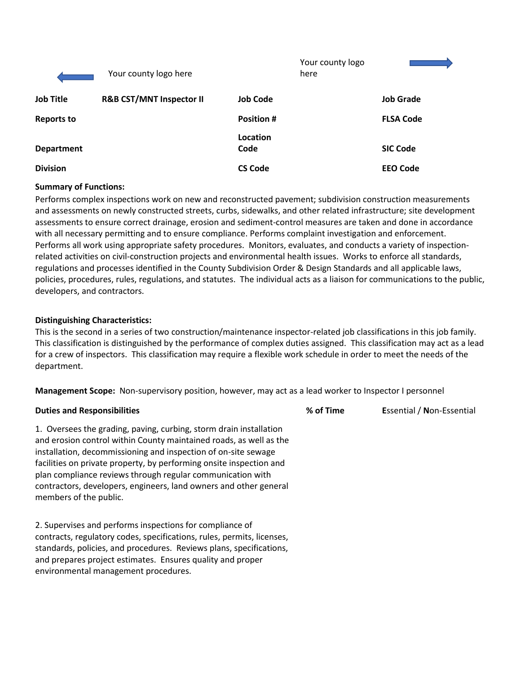|                   | Your county logo here               |                  | Your county logo<br>here |                  |
|-------------------|-------------------------------------|------------------|--------------------------|------------------|
| <b>Job Title</b>  | <b>R&amp;B CST/MNT Inspector II</b> | <b>Job Code</b>  |                          | <b>Job Grade</b> |
| <b>Reports to</b> |                                     | <b>Position#</b> |                          | <b>FLSA Code</b> |
| <b>Department</b> |                                     | Location<br>Code |                          | <b>SIC Code</b>  |
| <b>Division</b>   |                                     | <b>CS Code</b>   |                          | <b>EEO Code</b>  |

#### **Summary of Functions:**

Performs complex inspections work on new and reconstructed pavement; subdivision construction measurements and assessments on newly constructed streets, curbs, sidewalks, and other related infrastructure; site development assessments to ensure correct drainage, erosion and sediment-control measures are taken and done in accordance with all necessary permitting and to ensure compliance. Performs complaint investigation and enforcement. Performs all work using appropriate safety procedures. Monitors, evaluates, and conducts a variety of inspectionrelated activities on civil-construction projects and environmental health issues. Works to enforce all standards, regulations and processes identified in the County Subdivision Order & Design Standards and all applicable laws, policies, procedures, rules, regulations, and statutes. The individual acts as a liaison for communications to the public, developers, and contractors.

#### **Distinguishing Characteristics:**

This is the second in a series of two construction/maintenance inspector-related job classifications in this job family. This classification is distinguished by the performance of complex duties assigned. This classification may act as a lead for a crew of inspectors. This classification may require a flexible work schedule in order to meet the needs of the department.

**Management Scope:** Non-supervisory position, however, may act as a lead worker to Inspector I personnel

| <b>Duties and Responsibilities</b>                                                                                                                                                                                                                                                                                                                                                                                                             | % of Time | Essential / Non-Essential |
|------------------------------------------------------------------------------------------------------------------------------------------------------------------------------------------------------------------------------------------------------------------------------------------------------------------------------------------------------------------------------------------------------------------------------------------------|-----------|---------------------------|
| 1. Oversees the grading, paving, curbing, storm drain installation<br>and erosion control within County maintained roads, as well as the<br>installation, decommissioning and inspection of on-site sewage<br>facilities on private property, by performing onsite inspection and<br>plan compliance reviews through regular communication with<br>contractors, developers, engineers, land owners and other general<br>members of the public. |           |                           |
| 2. Supervises and performs inspections for compliance of<br>contracts, regulatory codes, specifications, rules, permits, licenses,<br>standards, policies, and procedures. Reviews plans, specifications,<br>and prepares project estimates. Ensures quality and proper<br>environmental management procedures.                                                                                                                                |           |                           |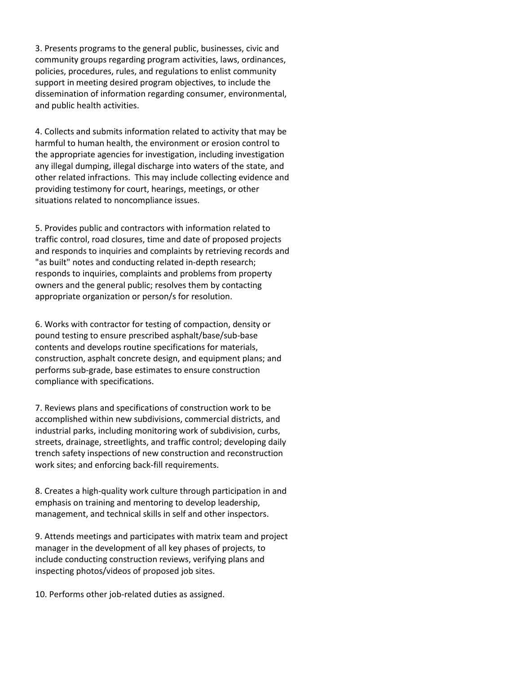3. Presents programs to the general public, businesses, civic and community groups regarding program activities, laws, ordinances, policies, procedures, rules, and regulations to enlist community support in meeting desired program objectives, to include the dissemination of information regarding consumer, environmental, and public health activities.

4. Collects and submits information related to activity that may be harmful to human health, the environment or erosion control to the appropriate agencies for investigation, including investigation any illegal dumping, illegal discharge into waters of the state, and other related infractions. This may include collecting evidence and providing testimony for court, hearings, meetings, or other situations related to noncompliance issues.

5. Provides public and contractors with information related to traffic control, road closures, time and date of proposed projects and responds to inquiries and complaints by retrieving records and "as built" notes and conducting related in-depth research; responds to inquiries, complaints and problems from property owners and the general public; resolves them by contacting appropriate organization or person/s for resolution.

6. Works with contractor for testing of compaction, density or pound testing to ensure prescribed asphalt/base/sub-base contents and develops routine specifications for materials, construction, asphalt concrete design, and equipment plans; and performs sub-grade, base estimates to ensure construction compliance with specifications.

7. Reviews plans and specifications of construction work to be accomplished within new subdivisions, commercial districts, and industrial parks, including monitoring work of subdivision, curbs, streets, drainage, streetlights, and traffic control; developing daily trench safety inspections of new construction and reconstruction work sites; and enforcing back-fill requirements.

8. Creates a high-quality work culture through participation in and emphasis on training and mentoring to develop leadership, management, and technical skills in self and other inspectors.

9. Attends meetings and participates with matrix team and project manager in the development of all key phases of projects, to include conducting construction reviews, verifying plans and inspecting photos/videos of proposed job sites.

10. Performs other job-related duties as assigned.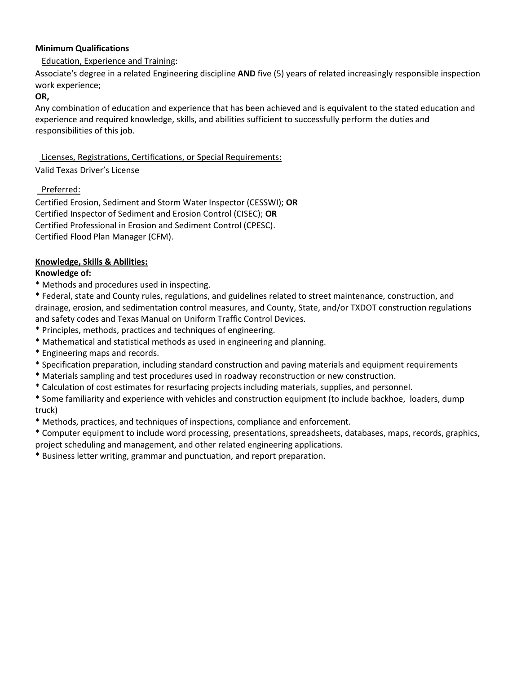### **Minimum Qualifications**

# Education, Experience and Training:

Associate's degree in a related Engineering discipline **AND** five (5) years of related increasingly responsible inspection work experience;

#### **OR,**

Any combination of education and experience that has been achieved and is equivalent to the stated education and experience and required knowledge, skills, and abilities sufficient to successfully perform the duties and responsibilities of this job.

# Licenses, Registrations, Certifications, or Special Requirements:

### Valid Texas Driver's License

# Preferred:

Certified Erosion, Sediment and Storm Water Inspector (CESSWI); **OR** Certified Inspector of Sediment and Erosion Control (CISEC); **OR** Certified Professional in Erosion and Sediment Control (CPESC). Certified Flood Plan Manager (CFM).

# **Knowledge, Skills & Abilities:**

# **Knowledge of:**

\* Methods and procedures used in inspecting.

\* Federal, state and County rules, regulations, and guidelines related to street maintenance, construction, and drainage, erosion, and sedimentation control measures, and County, State, and/or TXDOT construction regulations and safety codes and Texas Manual on Uniform Traffic Control Devices.

- \* Principles, methods, practices and techniques of engineering.
- \* Mathematical and statistical methods as used in engineering and planning.
- \* Engineering maps and records.
- \* Specification preparation, including standard construction and paving materials and equipment requirements
- \* Materials sampling and test procedures used in roadway reconstruction or new construction.
- \* Calculation of cost estimates for resurfacing projects including materials, supplies, and personnel.
- \* Some familiarity and experience with vehicles and construction equipment (to include backhoe, loaders, dump truck)
- \* Methods, practices, and techniques of inspections, compliance and enforcement.

\* Computer equipment to include word processing, presentations, spreadsheets, databases, maps, records, graphics, project scheduling and management, and other related engineering applications.

\* Business letter writing, grammar and punctuation, and report preparation.